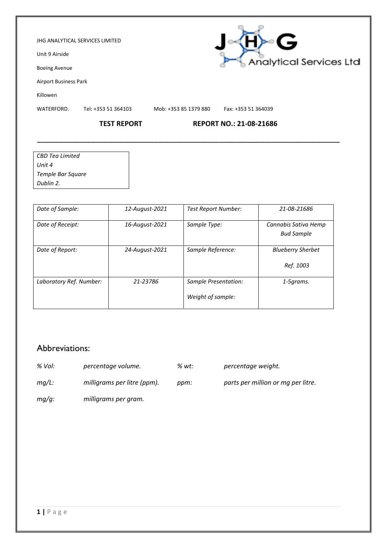#### JHG ANALYTICAL SERVICES LIMITED

Unit 9 Airside

Boeing Avenue

Airport Business Park

Killowen

WATERFORD. Tel: +353 51 364103 Mob: +353 85 1379 880 Fax: +353 51 364039

**\_\_\_\_\_\_\_\_\_\_\_\_\_\_\_\_\_\_\_\_\_\_\_\_\_\_\_\_\_\_\_\_\_\_\_\_\_\_\_\_\_\_\_\_\_\_\_\_\_\_\_\_\_\_\_\_\_\_\_\_\_\_\_\_\_\_\_\_\_\_\_\_\_\_\_\_\_\_\_\_\_\_\_\_\_**

H)~G

Analytical Services Ltd

### **TEST REPORT REPORT NO.: 21-08-21686**

| CBD Tea Limited   |  |
|-------------------|--|
| Unit 4            |  |
| Temple Bar Square |  |
| Dublin 2.         |  |

| Date of Sample:         | 12-August-2021 | <b>Test Report Number:</b>                | 21-08-21686                               |
|-------------------------|----------------|-------------------------------------------|-------------------------------------------|
| Date of Receipt:        | 16-August-2021 | Sample Type:                              | Cannabis Sativa Hemp<br><b>Bud Sample</b> |
| Date of Report:         | 24-August-2021 | Sample Reference:                         | <b>Blueberry Sherbet</b><br>Ref. 1003     |
| Laboratory Ref. Number: | 21-23786       | Sample Presentation:<br>Weight of sample: | 1-5grams.                                 |

## Abbreviations:

- *% Vol: percentage volume. % wt: percentage weight.*
- 
- *mg/L: milligrams per litre (ppm). ppm: parts per million or mg per litre.*
- *mg/g: milligrams per gram.*

**1 |** P a g e